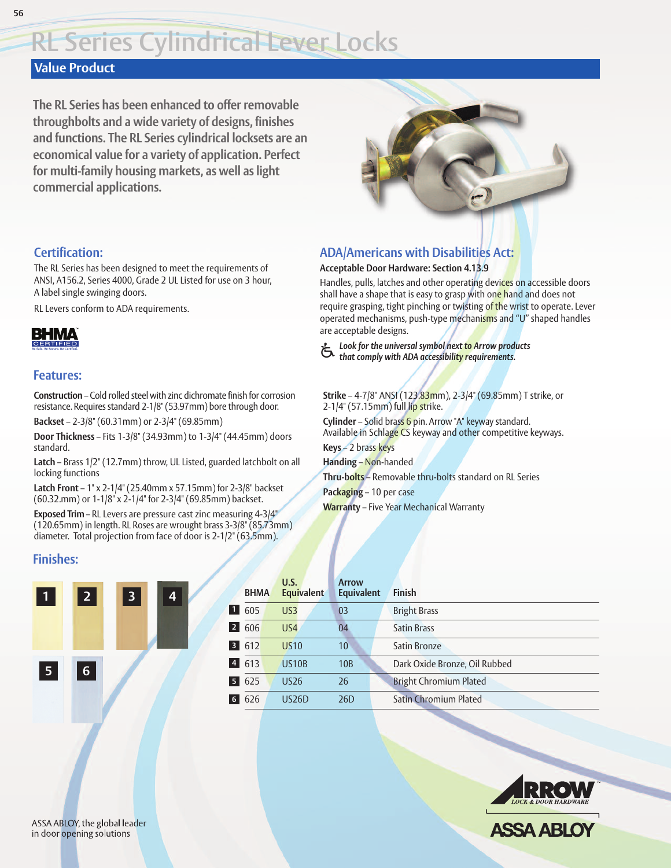# **Value Product**

**56**

**The RL Series has been enhanced to offer removable throughbolts and a wide variety of designs, finishes and functions. The RL Series cylindrical locksets are an economical value for a variety of application. Perfect for multi-family housing markets, as well as light commercial applications.**



Handles, pulls, latches and other operating devices on accessible doors shall have a shape that is easy to grasp with one hand and does not require grasping, tight pinching or twisting of the wrist to operate. Lever

### **Certification:**

The RL Series has been designed to meet the requirements of ANSI, A156.2, Series 4000, Grade 2 UL Listed for use on 3 hour, A label single swinging doors.

RL Levers conform to ADA requirements.



### **Features:**

**Construction** – Cold rolled steel with zinc dichromate finish for corrosion resistance. Requires standard 2-1/8"(53.97mm) bore through door.

**Backset** – 2-3/8" (60.31mm) or 2-3/4" (69.85mm)

**Door Thickness** – Fits 1-3/8" (34.93mm) to 1-3/4" (44.45mm) doors standard.

**Latch** – Brass 1/2" (12.7mm) throw, UL Listed, guarded latchbolt on all locking functions

**Latch Front** – 1" x 2-1/4" (25.40mm x 57.15mm) for 2-3/8" backset (60.32.mm) or 1-1/8" x 2-1/4" for 2-3/4" (69.85mm) backset.

**Exposed Trim** – RL Levers are pressure cast zinc measuring 4-3/4" (120.65mm) in length. RL Roses are wrought brass 3-3/8" (85.73mm) diameter. Total projection from face of door is 2-1/2" (63.5mm).

# **Finishes:**



|                | <b>BHMA</b> | U.S.<br><b>Equivalent</b> | <b>Arrow</b><br><b>Equivalent</b> | <b>Finish</b>                 |
|----------------|-------------|---------------------------|-----------------------------------|-------------------------------|
|                | 605         | US <sub>3</sub>           | 03                                | <b>Bright Brass</b>           |
| 2 <sup>1</sup> | 606         | US <sub>4</sub>           | 04                                | <b>Satin Brass</b>            |
| 3 <sup>1</sup> | 612         | <b>US10</b>               | 10                                | Satin Bronze                  |
| $\overline{4}$ | 613         | <b>US10B</b>              | 10 <sub>B</sub>                   | Dark Oxide Bronze, Oil Rubbed |
|                | 625         | <b>US26</b>               | 26                                | <b>Bright Chromium Plated</b> |
| 6              | 626         | <b>US26D</b>              | 26 <sub>D</sub>                   | <b>Satin Chromium Plated</b>  |



#### operated mechanisms, push-type mechanisms and "U" shaped handles are acceptable designs.

**ADA/Americans with Disabilities Act: Acceptable Door Hardware: Section 4.13.9**

*Look for the universal symbol next to Arrow products* u *that comply with ADA accessibility requirements.*

# **Strike** – 4-7/8" ANSI (123.83mm), 2-3/4" (69.85mm) T strike, or

Available in Schlage CS keyway and other competitive keyways. **Keys** – 2 brass keys

**Handing** – Non-handed **Thru-bolts** – Removable thru-bolts standard on RL Series **Packaging** – 10 per case **Warranty** – Five Year Mechanical Warranty

2-1/4" (57.15mm) full lip strike. **Cylinder** – Solid brass 6 pin. Arrow "A" keyway standard.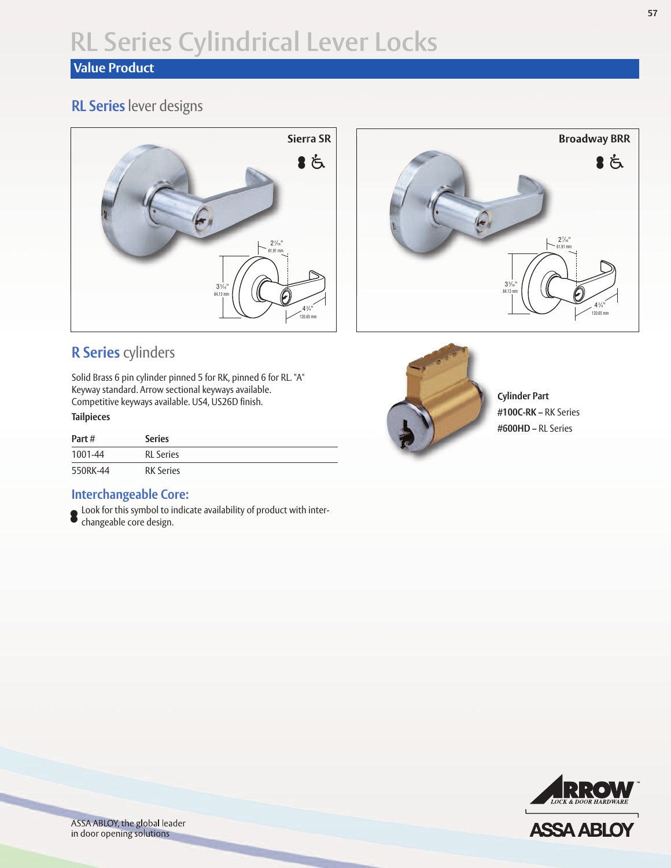# **Value Product**

# **RL Series** lever designs





# **R Series** cylinders

Solid Brass 6 pin cylinder pinned 5 for RK, pinned 6 for RL. "A" Keyway standard. Arrow sectional keyways available. Competitive keyways available. US4, US26D finish.

#### **Tailpieces**

| Part#    | <b>Series</b>    |  |
|----------|------------------|--|
| 1001-44  | <b>RL</b> Series |  |
| 550RK-44 | <b>RK Series</b> |  |

## **Interchangeable Core:**

Look for this symbol to indicate availability of product with interchangeable core design.



**Cylinder Part #100C-RK –** RK Series **#600HD –** RL Series



**ASSA ABLO** 



ASSA ABLOY, the global leader in door opening solutions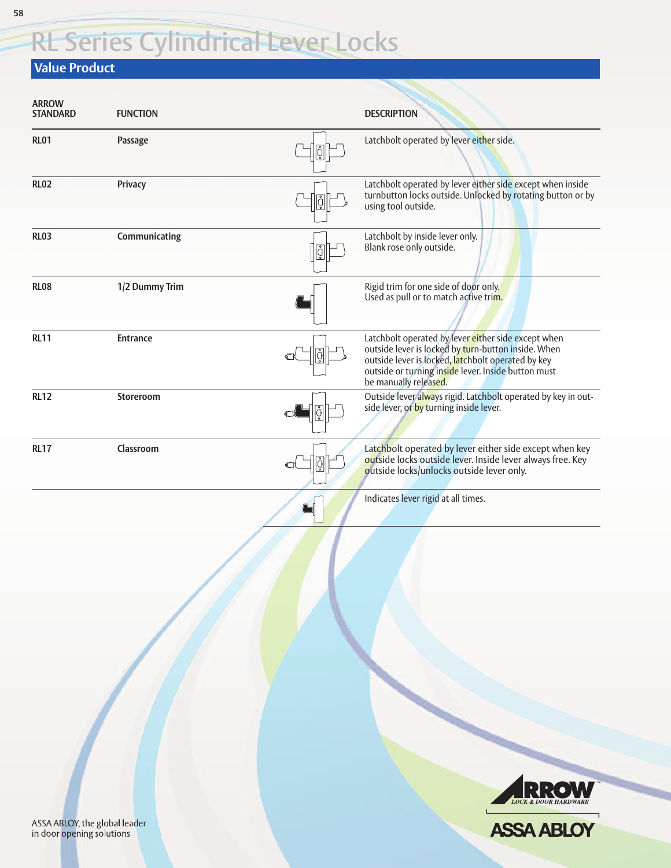### **Value Product**

| <b>ARROW</b><br><b>STANDARD</b>                            | <b>FUNCTION</b> |            | <b>DESCRIPTION</b>                                                                                                                                                                                                                               |
|------------------------------------------------------------|-----------------|------------|--------------------------------------------------------------------------------------------------------------------------------------------------------------------------------------------------------------------------------------------------|
| <b>RL01</b>                                                | Passage         | ģ          | Latchbolt operated by lever either side.                                                                                                                                                                                                         |
| <b>RL02</b>                                                | Privacy         |            | Latchbolt operated by lever either side except when inside<br>turnbutton locks outside. Unlocked by rotating button or by<br>using tool outside.                                                                                                 |
| <b>RL03</b>                                                | Communicating   | $\sqrt{2}$ | Latchbolt by inside lever only.<br>Blank rose only outside.                                                                                                                                                                                      |
| <b>RL08</b>                                                | 1/2 Dummy Trim  |            | Rigid trim for one side of door only.<br>Used as pull or to match active trim.                                                                                                                                                                   |
| <b>RL11</b>                                                | <b>Entrance</b> |            | Latchbolt operated by lever either side except when<br>outside lever is locked by turn-button inside. When<br>outside lever is locked, latchbolt operated by key<br>outside or turning inside lever. Inside button must<br>be manually released. |
| <b>RL12</b>                                                | Storeroom       |            | Outside lever always rigid. Latchbolt operated by key in out-<br>side lever, or by turning inside lever.                                                                                                                                         |
| <b>RL17</b>                                                | Classroom       | ģ          | Latchbolt operated by lever either side except when key<br>outside locks outside lever. Inside lever always free. Key<br>outside locks/unlocks outside lever only.                                                                               |
|                                                            |                 |            | Indicates lever rigid at all times.                                                                                                                                                                                                              |
|                                                            |                 |            | LOCK & DOOR HARDWARE                                                                                                                                                                                                                             |
| ASSA ABLOY, the global leader<br>in door opening solutions |                 |            | <b>ASSA ABLOY</b>                                                                                                                                                                                                                                |